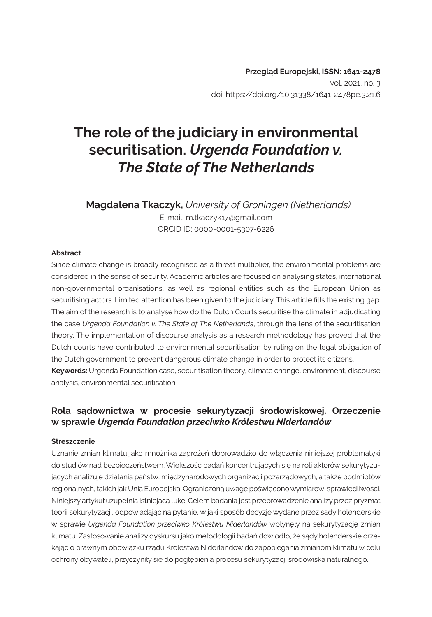# **The role of the judiciary in environmental securitisation.** *Urgenda Foundation v. The State of The Netherlands*

 **Magdalena Tkaczyk,** *University of Groningen (Netherlands)* E-mail: m.tkaczyk17@gmail.com ORCID ID: 0000-0001-5307-6226

#### **Abstract**

Since climate change is broadly recognised as a threat multiplier, the environmental problems are considered in the sense of security. Academic articles are focused on analysing states, international non-governmental organisations, as well as regional entities such as the European Union as securitising actors. Limited attention has been given to the judiciary. This article fills the existing gap. The aim of the research is to analyse how do the Dutch Courts securitise the climate in adjudicating the case *Urgenda Foundation v. The State of The Netherlands*, through the lens of the securitisation theory. The implementation of discourse analysis as a research methodology has proved that the Dutch courts have contributed to environmental securitisation by ruling on the legal obligation of the Dutch government to prevent dangerous climate change in order to protect its citizens. **Keywords:** Urgenda Foundation case, securitisation theory, climate change, environment, discourse analysis, environmental securitisation

#### **Rola sądownictwa w procesie sekurytyzacji środowiskowej. Orzeczenie w sprawie** *Urgenda Foundation przeciwko Królestwu Niderlandów*

#### **Streszczenie**

Uznanie zmian klimatu jako mnożnika zagrożeń doprowadziło do włączenia niniejszej problematyki do studiów nad bezpieczeństwem. Większość badań koncentrujących się na roli aktorów sekurytyzujących analizuje działania państw, międzynarodowych organizacji pozarządowych, a także podmiotów regionalnych, takich jak Unia Europejska. Ograniczoną uwagę poświęcono wymiarowi sprawiedliwości. Niniejszy artykuł uzupełnia istniejącą lukę. Celem badania jest przeprowadzenie analizy przez pryzmat teorii sekurytyzacji, odpowiadając na pytanie, w jaki sposób decyzje wydane przez sądy holenderskie w sprawie *Urgenda Foundation przeciwko Królestwu Niderlandów* wpłynęły na sekurytyzację zmian klimatu. Zastosowanie analizy dyskursu jako metodologii badań dowiodło, że sądy holenderskie orzekając o prawnym obowiązku rządu Królestwa Niderlandów do zapobiegania zmianom klimatu w celu ochrony obywateli, przyczyniły się do pogłębienia procesu sekurytyzacji środowiska naturalnego.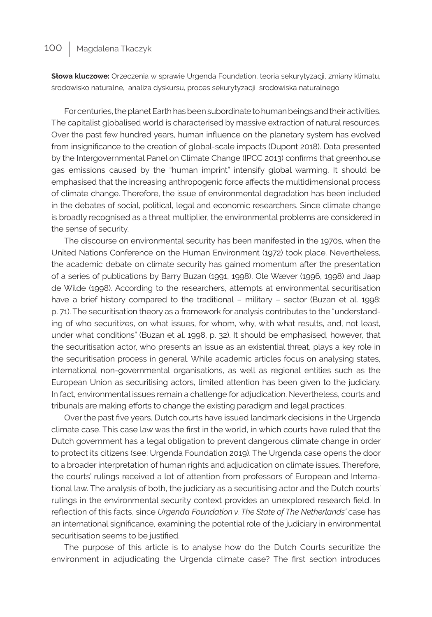**Słowa kluczowe:** Orzeczenia w sprawie Urgenda Foundation, teoria sekurytyzacji, zmiany klimatu, środowisko naturalne, analiza dyskursu, proces sekurytyzacji środowiska naturalnego

For centuries, the planet Earth has been subordinate to human beings and their activities. The capitalist globalised world is characterised by massive extraction of natural resources. Over the past few hundred years, human influence on the planetary system has evolved from insignificance to the creation of global-scale impacts (Dupont 2018). Data presented by the Intergovernmental Panel on Climate Change (IPCC 2013) confirms that greenhouse gas emissions caused by the "human imprint" intensify global warming. It should be emphasised that the increasing anthropogenic force affects the multidimensional process of climate change. Therefore, the issue of environmental degradation has been included in the debates of social, political, legal and economic researchers. Since climate change is broadly recognised as a threat multiplier, the environmental problems are considered in the sense of security.

The discourse on environmental security has been manifested in the 1970s, when the United Nations Conference on the Human Environment (1972) took place. Nevertheless, the academic debate on climate security has gained momentum after the presentation of a series of publications by Barry Buzan (1991, 1998), Ole Wæver (1996, 1998) and Jaap de Wilde (1998). According to the researchers, attempts at environmental securitisation have a brief history compared to the traditional – military – sector (Buzan et al. 1998: p. 71). The securitisation theory as a framework for analysis contributes to the "understanding of who securitizes, on what issues, for whom, why, with what results, and, not least, under what conditions" (Buzan et al. 1998, p. 32). It should be emphasised, however, that the securitisation actor, who presents an issue as an existential threat, plays a key role in the securitisation process in general. While academic articles focus on analysing states, international non-governmental organisations, as well as regional entities such as the European Union as securitising actors, limited attention has been given to the judiciary. In fact, environmental issues remain a challenge for adjudication. Nevertheless, courts and tribunals are making efforts to change the existing paradigm and legal practices.

Over the past five years, Dutch courts have issued landmark decisions in the Urgenda climate case. This case law was the first in the world, in which courts have ruled that the Dutch government has a legal obligation to prevent dangerous climate change in order to protect its citizens (see: Urgenda Foundation 2019). The Urgenda case opens the door to a broader interpretation of human rights and adjudication on climate issues. Therefore, the courts' rulings received a lot of attention from professors of European and International law. The analysis of both, the judiciary as a securitising actor and the Dutch courts' rulings in the environmental security context provides an unexplored research field. In reflection of this facts, since *Urgenda Foundation v. The State of The Netherlands'* case has an international significance, examining the potential role of the judiciary in environmental securitisation seems to be justified.

The purpose of this article is to analyse how do the Dutch Courts securitize the environment in adjudicating the Urgenda climate case? The first section introduces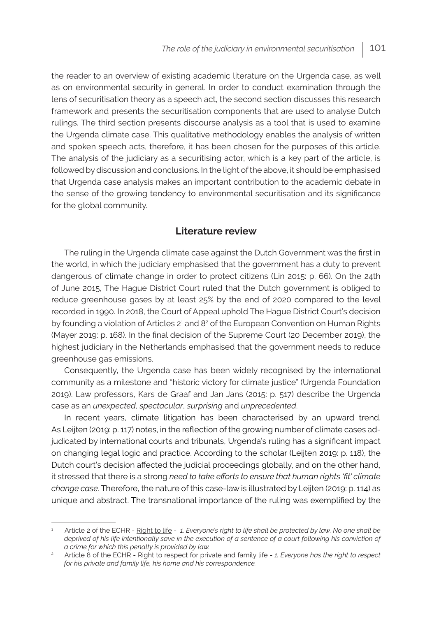the reader to an overview of existing academic literature on the Urgenda case, as well as on environmental security in general. In order to conduct examination through the lens of securitisation theory as a speech act, the second section discusses this research framework and presents the securitisation components that are used to analyse Dutch rulings. The third section presents discourse analysis as a tool that is used to examine the Urgenda climate case. This qualitative methodology enables the analysis of written and spoken speech acts, therefore, it has been chosen for the purposes of this article. The analysis of the judiciary as a securitising actor, which is a key part of the article, is followed by discussion and conclusions. In the light of the above, it should be emphasised that Urgenda case analysis makes an important contribution to the academic debate in the sense of the growing tendency to environmental securitisation and its significance for the global community.

#### **Literature review**

The ruling in the Urgenda climate case against the Dutch Government was the first in the world, in which the judiciary emphasised that the government has a duty to prevent dangerous of climate change in order to protect citizens (Lin 2015: p. 66). On the 24th of June 2015, The Hague District Court ruled that the Dutch government is obliged to reduce greenhouse gases by at least 25% by the end of 2020 compared to the level recorded in 1990. In 2018, the Court of Appeal uphold The Hague District Court's decision by founding a violation of Articles 2<sup>1</sup> and 8<sup>2</sup> of the European Convention on Human Rights (Mayer 2019: p. 168). In the final decision of the Supreme Court (20 December 2019), the highest judiciary in the Netherlands emphasised that the government needs to reduce greenhouse gas emissions.

Consequently, the Urgenda case has been widely recognised by the international community as a milestone and "historic victory for climate justice" (Urgenda Foundation 2019). Law professors, Kars de Graaf and Jan Jans (2015: p. 517) describe the Urgenda case as an *unexpected*, *spectacular*, *surprising* and *unprecedented*.

In recent years, climate litigation has been characterised by an upward trend. As Leijten (2019: p. 117) notes, in the reflection of the growing number of climate cases adjudicated by international courts and tribunals, Urgenda's ruling has a significant impact on changing legal logic and practice. According to the scholar (Leijten 2019: p. 118), the Dutch court's decision affected the judicial proceedings globally, and on the other hand, it stressed that there is a strong *need to take efforts to ensure that human rights 'fit' climate change case.* Therefore, the nature of this case-law is illustrated by Leijten (2019: p. 114) as unique and abstract. The transnational importance of the ruling was exemplified by the

<sup>1</sup> Article 2 of the ECHR - Right to life - *1. Everyone's right to life shall be protected by law. No one shall be deprived of his life intentionally save in the execution of a sentence of a court following his conviction of a crime for which this penalty is provided by law.*

<sup>2</sup> Article 8 of the ECHR - Right to respect for private and family life - *1. Everyone has the right to respect for his private and family life, his home and his correspondence.*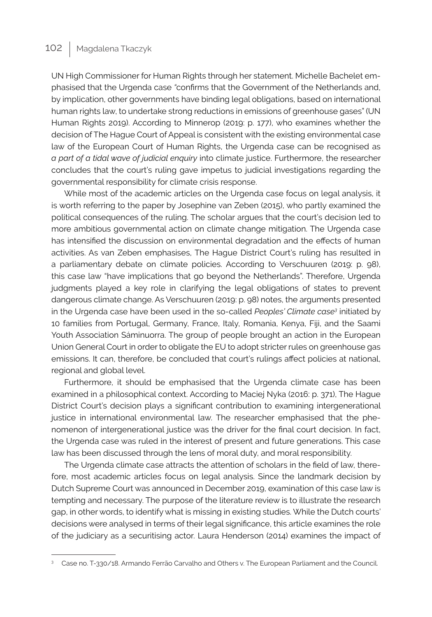UN High Commissioner for Human Rights through her statement. Michelle Bachelet emphasised that the Urgenda case *"*confirms that the Government of the Netherlands and, by implication, other governments have binding legal obligations, based on international human rights law, to undertake strong reductions in emissions of greenhouse gases" (UN Human Rights 2019). According to Minnerop (2019: p. 177), who examines whether the decision of The Hague Court of Appeal is consistent with the existing environmental case law of the European Court of Human Rights, the Urgenda case can be recognised as *a part of a tidal wave of judicial enquiry* into climate justice. Furthermore, the researcher concludes that the court's ruling gave impetus to judicial investigations regarding the governmental responsibility for climate crisis response.

While most of the academic articles on the Urgenda case focus on legal analysis, it is worth referring to the paper by Josephine van Zeben (2015), who partly examined the political consequences of the ruling. The scholar argues that the court's decision led to more ambitious governmental action on climate change mitigation. The Urgenda case has intensified the discussion on environmental degradation and the effects of human activities. As van Zeben emphasises, The Hague District Court's ruling has resulted in a parliamentary debate on climate policies. According to Verschuuren (2019: p. 98), this case law "have implications that go beyond the Netherlands". Therefore, Urgenda judgments played a key role in clarifying the legal obligations of states to prevent dangerous climate change. As Verschuuren (2019: p. 98) notes, the arguments presented in the Urgenda case have been used in the so‐-called *Peoples' Climate case<sup>3</sup>* initiated by 10 families from Portugal, Germany, France, Italy, Romania, Kenya, Fiji, and the Saami Youth Association Sáminuorra. The group of people brought an action in the European Union General Court in order to obligate the EU to adopt stricter rules on greenhouse gas emissions. It can, therefore, be concluded that court's rulings affect policies at national, regional and global level.

Furthermore, it should be emphasised that the Urgenda climate case has been examined in a philosophical context. According to Maciej Nyka (2016: p. 371), The Hague District Court's decision plays a significant contribution to examining intergenerational justice in international environmental law. The researcher emphasised that the phenomenon of intergenerational justice was the driver for the final court decision. In fact, the Urgenda case was ruled in the interest of present and future generations. This case law has been discussed through the lens of moral duty, and moral responsibility.

The Urgenda climate case attracts the attention of scholars in the field of law, therefore, most academic articles focus on legal analysis. Since the landmark decision by Dutch Supreme Court was announced in December 2019, examination of this case law is tempting and necessary. The purpose of the literature review is to illustrate the research gap, in other words, to identify what is missing in existing studies. While the Dutch courts' decisions were analysed in terms of their legal significance, this article examines the role of the judiciary as a securitising actor. Laura Henderson (2014) examines the impact of

<sup>3</sup> Case no. T-330/18. Armando Ferrão Carvalho and Others v. The European Parliament and the Council.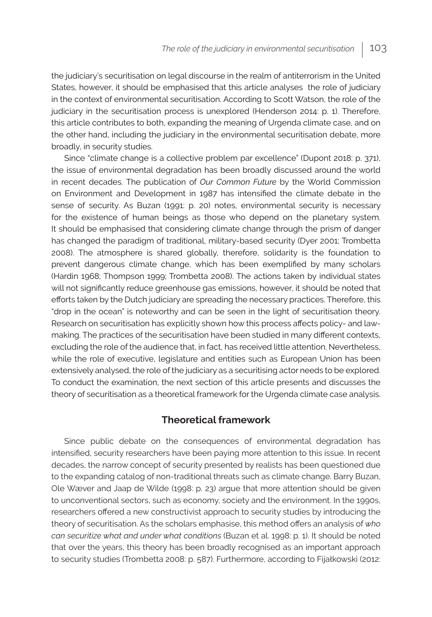the judiciary's securitisation on legal discourse in the realm of antiterrorism in the United States, however, it should be emphasised that this article analyses the role of judiciary in the context of environmental securitisation. According to Scott Watson, the role of the judiciary in the securitisation process is unexplored (Henderson 2014: p. 1). Therefore, this article contributes to both, expanding the meaning of Urgenda climate case, and on the other hand, including the judiciary in the environmental securitisation debate, more broadly, in security studies.

Since "climate change is a collective problem par excellence" (Dupont 2018: p. 371), the issue of environmental degradation has been broadly discussed around the world in recent decades. The publication of *Our Common Future* by the World Commission on Environment and Development in 1987 has intensified the climate debate in the sense of security. As Buzan (1991: p. 20) notes, environmental security is necessary for the existence of human beings as those who depend on the planetary system. It should be emphasised that considering climate change through the prism of danger has changed the paradigm of traditional, military-based security (Dyer 2001; Trombetta 2008). The atmosphere is shared globally, therefore, solidarity is the foundation to prevent dangerous climate change, which has been exemplified by many scholars (Hardin 1968; Thompson 1999; Trombetta 2008). The actions taken by individual states will not significantly reduce greenhouse gas emissions, however, it should be noted that efforts taken by the Dutch judiciary are spreading the necessary practices. Therefore, this "drop in the ocean" is noteworthy and can be seen in the light of securitisation theory. Research on securitisation has explicitly shown how this process affects policy- and lawmaking. The practices of the securitisation have been studied in many different contexts, excluding the role of the audience that, in fact, has received little attention. Nevertheless, while the role of executive, legislature and entities such as European Union has been extensively analysed, the role of the judiciary as a securitising actor needs to be explored. To conduct the examination, the next section of this article presents and discusses the theory of securitisation as a theoretical framework for the Urgenda climate case analysis.

#### **Theoretical framework**

Since public debate on the consequences of environmental degradation has intensified, security researchers have been paying more attention to this issue. In recent decades, the narrow concept of security presented by realists has been questioned due to the expanding catalog of non-traditional threats such as climate change. Barry Buzan, Ole Wæver and Jaap de Wilde (1998: p. 23) argue that more attention should be given to unconventional sectors, such as economy, society and the environment. In the 1990s, researchers offered a new constructivist approach to security studies by introducing the theory of securitisation. As the scholars emphasise, this method offers an analysis of *who can securitize what and under what conditions* (Buzan et al. 1998: p. 1). It should be noted that over the years, this theory has been broadly recognised as an important approach to security studies (Trombetta 2008: p. 587). Furthermore, according to Fijałkowski (2012: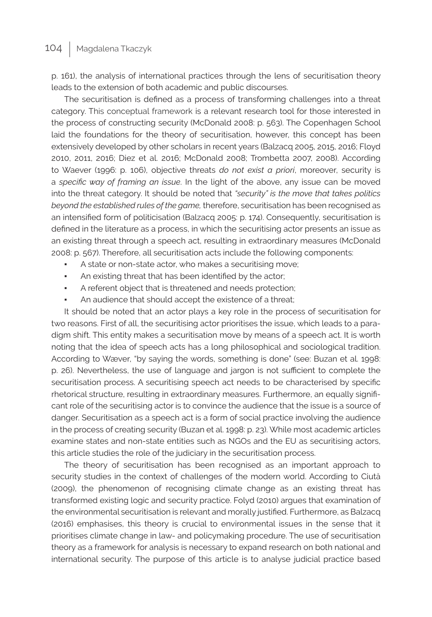p. 161), the analysis of international practices through the lens of securitisation theory leads to the extension of both academic and public discourses.

The securitisation is defined as a process of transforming challenges into a threat category. This conceptual framework is a relevant research tool for those interested in the process of constructing security (McDonald 2008: p. 563). The Copenhagen School laid the foundations for the theory of securitisation, however, this concept has been extensively developed by other scholars in recent years (Balzacq 2005, 2015, 2016; Floyd 2010, 2011, 2016; Diez et al. 2016; McDonald 2008; Trombetta 2007, 2008). According to Waever (1996: p. 106), objective threats *do not exist a priori*, moreover, security is a *specific way of framing an issue*. In the light of the above, any issue can be moved into the threat category. It should be noted that *"security" is the move that takes politics beyond the established rules of the game,* therefore, securitisation has been recognised as an intensified form of politicisation (Balzacq 2005: p. 174). Consequently, securitisation is defined in the literature as a process, in which the securitising actor presents an issue as an existing threat through a speech act, resulting in extraordinary measures (McDonald 2008: p. 567). Therefore, all securitisation acts include the following components:

- A state or non-state actor, who makes a securitising move;
- An existing threat that has been identified by the actor;
- A referent object that is threatened and needs protection;
- An audience that should accept the existence of a threat;

It should be noted that an actor plays a key role in the process of securitisation for two reasons. First of all, the securitising actor prioritises the issue, which leads to a paradigm shift. This entity makes a securitisation move by means of a speech act. It is worth noting that the idea of speech acts has a long philosophical and sociological tradition. According to Wæver, "by saying the words, something is done" (see: Buzan et al. 1998: p. 26). Nevertheless, the use of language and jargon is not sufficient to complete the securitisation process. A securitising speech act needs to be characterised by specific rhetorical structure, resulting in extraordinary measures. Furthermore, an equally significant role of the securitising actor is to convince the audience that the issue is a source of danger. Securitisation as a speech act is a form of social practice involving the audience in the process of creating security (Buzan et al. 1998: p. 23). While most academic articles examine states and non-state entities such as NGOs and the EU as securitising actors, this article studies the role of the judiciary in the securitisation process.

The theory of securitisation has been recognised as an important approach to security studies in the context of challenges of the modern world. According to Ciută (2009), the phenomenon of recognising climate change as an existing threat has transformed existing logic and security practice. Folyd (2010) argues that examination of the environmental securitisation is relevant and morally justified. Furthermore, as Balzacq (2016) emphasises, this theory is crucial to environmental issues in the sense that it prioritises climate change in law- and policymaking procedure. The use of securitisation theory as a framework for analysis is necessary to expand research on both national and international security. The purpose of this article is to analyse judicial practice based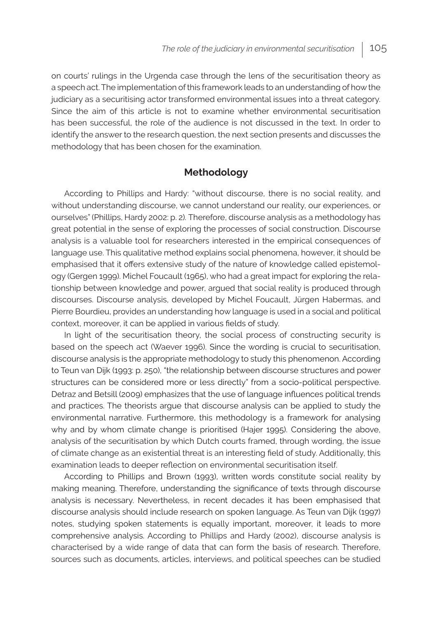on courts' rulings in the Urgenda case through the lens of the securitisation theory as a speech act. The implementation of this framework leads to an understanding of how the judiciary as a securitising actor transformed environmental issues into a threat category. Since the aim of this article is not to examine whether environmental securitisation has been successful, the role of the audience is not discussed in the text. In order to identify the answer to the research question, the next section presents and discusses the methodology that has been chosen for the examination.

#### **Methodology**

According to Phillips and Hardy: "without discourse, there is no social reality, and without understanding discourse, we cannot understand our reality, our experiences, or ourselves" (Phillips, Hardy 2002: p. 2)*.* Therefore, discourse analysis as a methodology has great potential in the sense of exploring the processes of social construction. Discourse analysis is a valuable tool for researchers interested in the empirical consequences of language use. This qualitative method explains social phenomena, however, it should be emphasised that it offers extensive study of the nature of knowledge called epistemology (Gergen 1999). Michel Foucault (1965), who had a great impact for exploring the relationship between knowledge and power, argued that social reality is produced through discourses. Discourse analysis, developed by Michel Foucault, Jürgen Habermas, and Pierre Bourdieu, provides an understanding how language is used in a social and political context, moreover, it can be applied in various fields of study.

In light of the securitisation theory, the social process of constructing security is based on the speech act (Waever 1996). Since the wording is crucial to securitisation, discourse analysis is the appropriate methodology to study this phenomenon. According to Teun van Dijk (1993: p. 250), "the relationship between discourse structures and power structures can be considered more or less directly" from a socio-political perspective. Detraz and Betsill (2009) emphasizes that the use of language influences political trends and practices. The theorists argue that discourse analysis can be applied to study the environmental narrative. Furthermore, this methodology is a framework for analysing why and by whom climate change is prioritised (Hajer 1995). Considering the above, analysis of the securitisation by which Dutch courts framed, through wording, the issue of climate change as an existential threat is an interesting field of study. Additionally, this examination leads to deeper reflection on environmental securitisation itself.

According to Phillips and Brown (1993), written words constitute social reality by making meaning. Therefore, understanding the significance of texts through discourse analysis is necessary. Nevertheless, in recent decades it has been emphasised that discourse analysis should include research on spoken language. As Teun van Dijk (1997) notes, studying spoken statements is equally important, moreover, it leads to more comprehensive analysis. According to Phillips and Hardy (2002), discourse analysis is characterised by a wide range of data that can form the basis of research. Therefore, sources such as documents, articles, interviews, and political speeches can be studied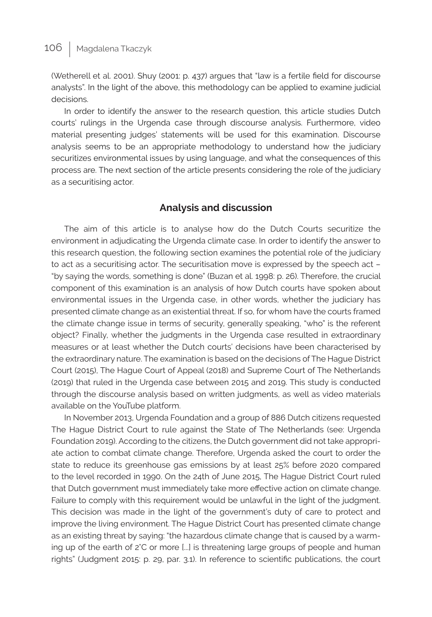(Wetherell et al. 2001). Shuy (2001: p. 437) argues that "law is a fertile field for discourse analysts". In the light of the above, this methodology can be applied to examine judicial decisions.

In order to identify the answer to the research question, this article studies Dutch courts' rulings in the Urgenda case through discourse analysis. Furthermore, video material presenting judges' statements will be used for this examination. Discourse analysis seems to be an appropriate methodology to understand how the judiciary securitizes environmental issues by using language, and what the consequences of this process are. The next section of the article presents considering the role of the judiciary as a securitising actor.

## **Analysis and discussion**

The aim of this article is to analyse how do the Dutch Courts securitize the environment in adjudicating the Urgenda climate case. In order to identify the answer to this research question, the following section examines the potential role of the judiciary to act as a securitising actor. The securitisation move is expressed by the speech act – "by saying the words, something is done" (Buzan et al. 1998: p. 26). Therefore, the crucial component of this examination is an analysis of how Dutch courts have spoken about environmental issues in the Urgenda case, in other words, whether the judiciary has presented climate change as an existential threat. If so, for whom have the courts framed the climate change issue in terms of security, generally speaking, "who" is the referent object? Finally, whether the judgments in the Urgenda case resulted in extraordinary measures or at least whether the Dutch courts' decisions have been characterised by the extraordinary nature. The examination is based on the decisions of The Hague District Court (2015), The Hague Court of Appeal (2018) and Supreme Court of The Netherlands (2019) that ruled in the Urgenda case between 2015 and 2019. This study is conducted through the discourse analysis based on written judgments, as well as video materials available on the YouTube platform.

In November 2013, Urgenda Foundation and a group of 886 Dutch citizens requested The Hague District Court to rule against the State of The Netherlands (see: Urgenda Foundation 2019). According to the citizens, the Dutch government did not take appropriate action to combat climate change. Therefore, Urgenda asked the court to order the state to reduce its greenhouse gas emissions by at least 25% before 2020 compared to the level recorded in 1990. On the 24th of June 2015, The Hague District Court ruled that Dutch government must immediately take more effective action on climate change. Failure to comply with this requirement would be unlawful in the light of the judgment. This decision was made in the light of the government's duty of care to protect and improve the living environment. The Hague District Court has presented climate change as an existing threat by saying: "the hazardous climate change that is caused by a warming up of the earth of 2°C or more [...] is threatening large groups of people and human rights" (Judgment 2015: p. 29, par. 3.1). In reference to scientific publications, the court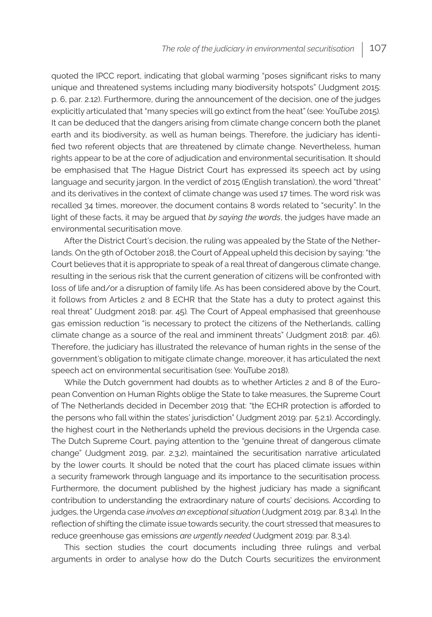quoted the IPCC report, indicating that global warming "poses significant risks to many unique and threatened systems including many biodiversity hotspots" (Judgment 2015: p. 6, par. 2.12). Furthermore, during the announcement of the decision, one of the judges explicitly articulated that "many species will go extinct from the heat" (see: YouTube 2015)*.* It can be deduced that the dangers arising from climate change concern both the planet earth and its biodiversity, as well as human beings. Therefore, the judiciary has identified two referent objects that are threatened by climate change. Nevertheless, human rights appear to be at the core of adjudication and environmental securitisation. It should be emphasised that The Hague District Court has expressed its speech act by using language and security jargon. In the verdict of 2015 (English translation), the word "threat" and its derivatives in the context of climate change was used 17 times. The word risk was recalled 34 times, moreover, the document contains 8 words related to "security". In the light of these facts, it may be argued that *by saying the words*, the judges have made an environmental securitisation move.

After the District Court's decision, the ruling was appealed by the State of the Netherlands. On the 9th of October 2018, the Court of Appeal upheld this decision by saying: "the Court believes that it is appropriate to speak of a real threat of dangerous climate change, resulting in the serious risk that the current generation of citizens will be confronted with loss of life and/or a disruption of family life. As has been considered above by the Court, it follows from Articles 2 and 8 ECHR that the State has a duty to protect against this real threat" (Judgment 2018: par. 45)*.* The Court of Appeal emphasised that greenhouse gas emission reduction "is necessary to protect the citizens of the Netherlands, calling climate change as a source of the real and imminent threats" (Judgment 2018: par. 46). Therefore, the judiciary has illustrated the relevance of human rights in the sense of the government's obligation to mitigate climate change, moreover, it has articulated the next speech act on environmental securitisation (see: YouTube 2018).

While the Dutch government had doubts as to whether Articles 2 and 8 of the European Convention on Human Rights oblige the State to take measures, the Supreme Court of The Netherlands decided in December 2019 that: "the ECHR protection is afforded to the persons who fall within the states' jurisdiction" (Judgment 2019: par. 5.2.1). Accordingly, the highest court in the Netherlands upheld the previous decisions in the Urgenda case. The Dutch Supreme Court, paying attention to the "genuine threat of dangerous climate change" (Judgment 2019, par. 2.3.2), maintained the securitisation narrative articulated by the lower courts. It should be noted that the court has placed climate issues within a security framework through language and its importance to the securitisation process. Furthermore, the document published by the highest judiciary has made a significant contribution to understanding the extraordinary nature of courts' decisions. According to judges, the Urgenda case *involves an exceptional situation* (Judgment 2019: par. 8.3.4). In the reflection of shifting the climate issue towards security, the court stressed that measures to reduce greenhouse gas emissions *are urgently needed* (Judgment 2019: par. 8.3.4).

This section studies the court documents including three rulings and verbal arguments in order to analyse how do the Dutch Courts securitizes the environment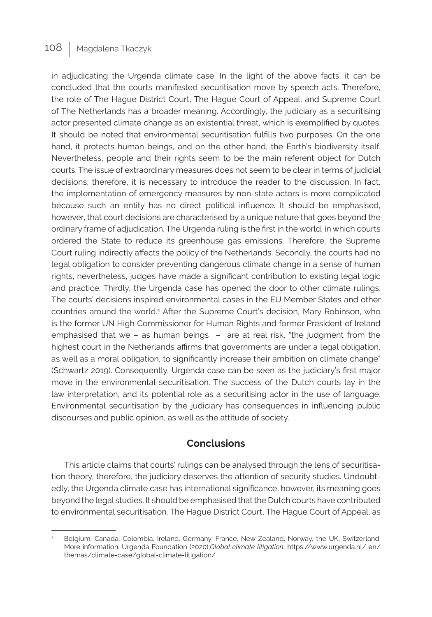in adjudicating the Urgenda climate case. In the light of the above facts, it can be concluded that the courts manifested securitisation move by speech acts. Therefore, the role of The Hague District Court, The Hague Court of Appeal, and Supreme Court of The Netherlands has a broader meaning. Accordingly, the judiciary as a securitising actor presented climate change as an existential threat, which is exemplified by quotes. It should be noted that environmental securitisation fulfills two purposes. On the one hand, it protects human beings, and on the other hand, the Earth's biodiversity itself. Nevertheless, people and their rights seem to be the main referent object for Dutch courts. The issue of extraordinary measures does not seem to be clear in terms of judicial decisions, therefore, it is necessary to introduce the reader to the discussion. In fact, the implementation of emergency measures by non-state actors is more complicated because such an entity has no direct political influence. It should be emphasised, however, that court decisions are characterised by a unique nature that goes beyond the ordinary frame of adjudication. The Urgenda ruling is the first in the world, in which courts ordered the State to reduce its greenhouse gas emissions. Therefore, the Supreme Court ruling indirectly affects the policy of the Netherlands. Secondly, the courts had no legal obligation to consider preventing dangerous climate change in a sense of human rights, nevertheless, judges have made a significant contribution to existing legal logic and practice. Thirdly, the Urgenda case has opened the door to other climate rulings. The courts' decisions inspired environmental cases in the EU Member States and other countries around the world.<sup>4</sup> After the Supreme Court's decision, Mary Robinson, who is the former UN High Commissioner for Human Rights and former President of Ireland emphasised that we – as human beings – are at real risk, "the judgment from the highest court in the Netherlands affirms that governments are under a legal obligation, as well as a moral obligation, to significantly increase their ambition on climate change" (Schwartz 2019). Consequently, Urgenda case can be seen as the judiciary's first major move in the environmental securitisation. The success of the Dutch courts lay in the law interpretation, and its potential role as a securitising actor in the use of language. Environmental securitisation by the judiciary has consequences in influencing public discourses and public opinion, as well as the attitude of society.

#### **Conclusions**

This article claims that courts' rulings can be analysed through the lens of securitisation theory, therefore, the judiciary deserves the attention of security studies. Undoubtedly, the Urgenda climate case has international significance, however, its meaning goes beyond the legal studies. It should be emphasised that the Dutch courts have contributed to environmental securitisation. The Hague District Court, The Hague Court of Appeal, as

Belgium, Canada, Colombia, Ireland, Germany, France, New Zealand, Norway, the UK, Switzerland. More information: Urgenda Foundation (2020),*Global climate litigation*, https://www.urgenda.nl/ en/ themas/climate-case/global-climate-litigation/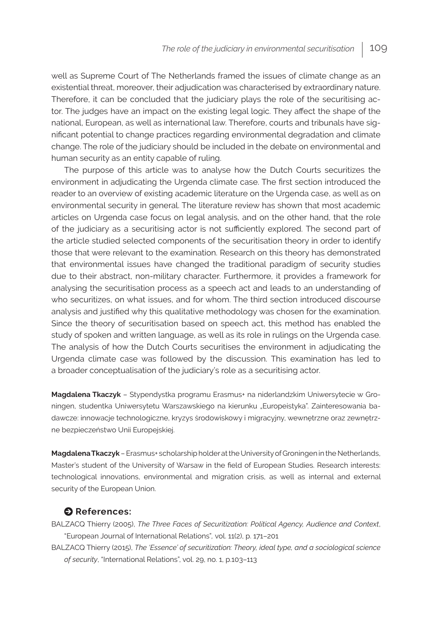well as Supreme Court of The Netherlands framed the issues of climate change as an existential threat, moreover, their adjudication was characterised by extraordinary nature. Therefore, it can be concluded that the judiciary plays the role of the securitising actor. The judges have an impact on the existing legal logic. They affect the shape of the national, European, as well as international law. Therefore, courts and tribunals have significant potential to change practices regarding environmental degradation and climate change. The role of the judiciary should be included in the debate on environmental and human security as an entity capable of ruling.

The purpose of this article was to analyse how the Dutch Courts securitizes the environment in adjudicating the Urgenda climate case. The first section introduced the reader to an overview of existing academic literature on the Urgenda case, as well as on environmental security in general. The literature review has shown that most academic articles on Urgenda case focus on legal analysis, and on the other hand, that the role of the judiciary as a securitising actor is not sufficiently explored. The second part of the article studied selected components of the securitisation theory in order to identify those that were relevant to the examination. Research on this theory has demonstrated that environmental issues have changed the traditional paradigm of security studies due to their abstract, non-military character. Furthermore, it provides a framework for analysing the securitisation process as a speech act and leads to an understanding of who securitizes, on what issues, and for whom. The third section introduced discourse analysis and justified why this qualitative methodology was chosen for the examination. Since the theory of securitisation based on speech act, this method has enabled the study of spoken and written language, as well as its role in rulings on the Urgenda case. The analysis of how the Dutch Courts securitises the environment in adjudicating the Urgenda climate case was followed by the discussion. This examination has led to a broader conceptualisation of the judiciary's role as a securitising actor.

**Magdalena Tkaczyk** – Stypendystka programu Erasmus+ na niderlandzkim Uniwersytecie w Groningen, studentka Uniwersytetu Warszawskiego na kierunku "Europeistyka". Zainteresowania badawcze: innowacje technologiczne, kryzys środowiskowy i migracyjny, wewnętrzne oraz zewnętrzne bezpieczeństwo Unii Europejskiej.

**Magdalena Tkaczyk** – Erasmus+ scholarship holder at the University of Groningen in the Netherlands, Master's student of the University of Warsaw in the field of European Studies. Research interests: technological innovations, environmental and migration crisis, as well as internal and external security of the European Union.

#### $\bullet$  References:

BALZACQ Thierry (2005), *The Three Faces of Securitization: Political Agency, Audience and Context*, "European Journal of International Relations"*,* vol. 11(2), p. 171–201

BALZACQ Thierry (2015), *The 'Essence' of securitization: Theory, ideal type, and a sociological science of security*, "International Relations", vol. 29, no. 1, p.103–113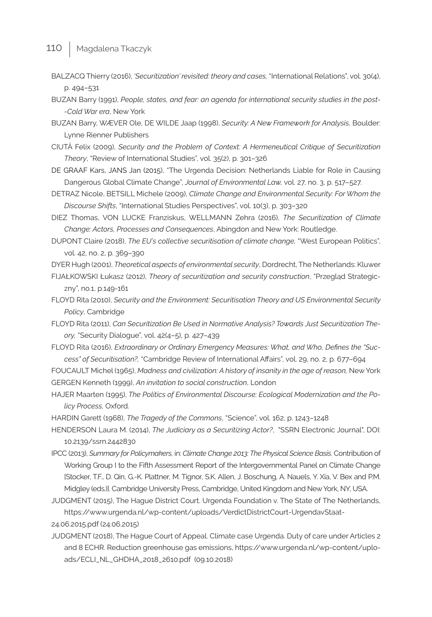- BALZACQ Thierry (2016), *'Securitization' revisited: theory and cases,* "International Relations", vol. 30(4), p. 494–531
- BUZAN Barry (1991), *People, states, and fear: an agenda for international security studies in the post- -Cold War era*, New York
- BUZAN Barry, WÆVER Ole, DE WILDE Jaap (1998), *Security: A New Framework for Analysis,* Boulder: Lynne Rienner Publishers
- CIUTĂ Felix (2009), *Security and the Problem of Context: A Hermeneutical Critique of Securitization Theory*, "Review of International Studies", vol. 35(2), p. 301–326
- DE GRAAF Kars, JANS Jan (2015), "The Urgenda Decision: Netherlands Liable for Role in Causing Dangerous Global Climate Change", *Journal of Environmental Law,* vol. 27, no. 3, p. 517–527.
- DETRAZ Nicole, BETSILL Michele (2009), *Climate Change and Environmental Security: For Whom the Discourse Shifts*, "International Studies Perspectives", vol. 10(3), p. 303–320

DIEZ Thomas, VON LUCKE Franziskus, WELLMANN Zehra (2016), *The Securitization of Climate Change: Actors, Processes and Consequences*, Abingdon and New York: Routledge.

DUPONT Claire (2018), *The EU's collective securitisation of climate change,* "West European Politics", vol. 42, no. 2, p. 369–390

DYER Hugh (2001), *Theoretical aspects of environmental security*, Dordrecht, The Netherlands: Kluwer

FIJAŁKOWSKI Łukasz (2012), *Theory of securitization and security construction*, "Przegląd Strategiczny", no.1, p.149-161

- FLOYD Rita (2010), *Security and the Environment: Securitisation Theory and US Environmental Security Policy*, Cambridge
- FLOYD Rita (2011), *Can Securitization Be Used in Normative Analysis? Towards Just Securitization Theory,* "Security Dialogue", vol. 42(4–5), p. 427–439
- FLOYD Rita (2016), *Extraordinary or Ordinary Emergency Measures: What, and Who, Defines the "Success" of Securitisation?,* "Cambridge Review of International Affairs", vol. 29, no. 2, p. 677–694
- FOUCAULT Michel (1965), *Madness and civilization: A history of insanity in the age of reason,* New York GERGEN Kenneth (1999), *An invitation to social construction*, London
- HAJER Maarten (1995), *The Politics of Environmental Discourse: Ecological Modernization and the Policy Process,* Oxford.

HARDIN Garett (1968), *The Tragedy of the Commons*, "Science", vol. 162, p. 1243–1248

HENDERSON Laura M. (2014), *The Judiciary as a Securitizing Actor?*, "SSRN Electronic Journal", DOI: 10.2139/ssrn.2442830

- IPCC (2013), *Summary for Policymakers,* in: *Climate Change 2013: The Physical Science Basis*. Contribution of Working Group I to the Fifth Assessment Report of the Intergovernmental Panel on Climate Change [Stocker, T.F., D. Qin, G.-K. Plattner, M. Tignor, S.K. Allen, J. Boschung, A. Nauels, Y. Xia, V. Bex and P.M. Midgley (eds.)]. Cambridge University Press, Cambridge, United Kingdom and New York, NY, USA.
- JUDGMENT (2015), The Hague District Court. Urgenda Foundation v. The State of The Netherlands, https://www.urgenda.nl/wp-content/uploads/VerdictDistrictCourt-UrgendavStaat-24.06.2015.pdf (24.06.2015)
- JUDGMENT (2018), The Hague Court of Appeal. Climate case Urgenda. Duty of care under Articles 2 and 8 ECHR. Reduction greenhouse gas emissions, https://www.urgenda.nl/wp-content/uploads/ECLI\_NL\_GHDHA\_2018\_2610.pdf (09.10.2018)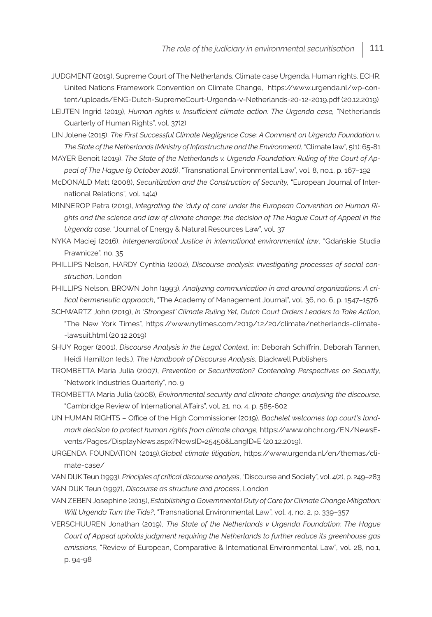- JUDGMENT (2019), Supreme Court of The Netherlands. Climate case Urgenda. Human rights. ECHR. United Nations Framework Convention on Climate Change, https://www.urgenda.nl/wp-content/uploads/ENG-Dutch-SupremeCourt-Urgenda-v-Netherlands-20-12-2019.pdf (20.12.2019)
- LEIJTEN Ingrid (2019), *Human rights v. Insufficient climate action: The Urgenda case,* "Netherlands Quarterly of Human Rights", vol. 37(2)
- LIN Jolene (2015), *The First Successful Climate Negligence Case: A Comment on Urgenda Foundation v. The State of the Netherlands (Ministry of Infrastructure and the Environment),* "Climate law", 5(1): 65-81
- MAYER Benoit (2019), *The State of the Netherlands v. Urgenda Foundation: Ruling of the Court of Appeal of The Hague (9 October 2018)*, "Transnational Environmental Law", vol. 8, no.1, p. 167–192
- McDONALD Matt (2008), *Securitization and the Construction of Security,* "European Journal of International Relations"*,* vol. 14(4)
- MINNEROP Petra (2019), *Integrating the 'duty of care' under the European Convention on Human Rights and the science and law of climate change: the decision of The Hague Court of Appeal in the Urgenda case,* "Journal of Energy & Natural Resources Law", vol. 37
- NYKA Maciej (2016), *Intergenerational Justice in international environmental law*, "Gdańskie Studia Prawnicze", no. 35
- PHILLIPS Nelson, HARDY Cynthia (2002), *Discourse analysis: investigating processes of social construction*, London
- PHILLIPS Nelson, BROWN John (1993), *Analyzing communication in and around organizations: A critical hermeneutic approach*, "The Academy of Management Journal", vol. 36, no. 6, p. 1547–1576
- SCHWARTZ John (2019), *In 'Strongest' Climate Ruling Yet, Dutch Court Orders Leaders to Take Action,*  "The New York Times", https://www.nytimes.com/2019/12/20/climate/netherlands-climate- -lawsuit.html (20.12.2019)
- SHUY Roger (2001), *Discourse Analysis in the Legal Context,* in: Deborah Schiffrin, Deborah Tannen, Heidi Hamilton (eds.), *The Handbook of Discourse Analysis*, Blackwell Publishers
- TROMBETTA Maria Julia (2007), *Prevention or Securitization? Contending Perspectives on Security*, "Network Industries Quarterly", no. 9
- TROMBETTA Maria Julia (2008), *Environmental security and climate change: analysing the discourse,* "Cambridge Review of International Affairs", vol. 21, no. 4, p. 585-602
- UN HUMAN RIGHTS Office of the High Commissioner (2019)*, Bachelet welcomes top court's landmark decision to protect human rights from climate change,* https://www.ohchr.org/EN/NewsEvents/Pages/DisplayNews.aspx?NewsID=25450&LangID=E (20.12.2019).
- URGENDA FOUNDATION (2019),*Global climate litigation*, https://www.urgenda.nl/en/themas/climate-case/
- VAN DIJK Teun (1993), *Principles of critical discourse analysis*, "Discourse and Society", vol. 4(2), p. 249–283 VAN DIJK Teun (1997), *Discourse as structure and process*, London
- VAN ZEBEN Josephine (2015), *Establishing a Governmental Duty of Care for Climate Change Mitigation: Will Urgenda Turn the Tide?*, "Transnational Environmental Law", vol. 4, no. 2, p. 339–357
- VERSCHUUREN Jonathan (2019), *The State of the Netherlands v Urgenda Foundation: The Hague Court of Appeal upholds judgment requiring the Netherlands to further reduce its greenhouse gas emissions*, "Review of European, Comparative & International Environmental Law"*,* vol. 28, no.1, p. 94-98